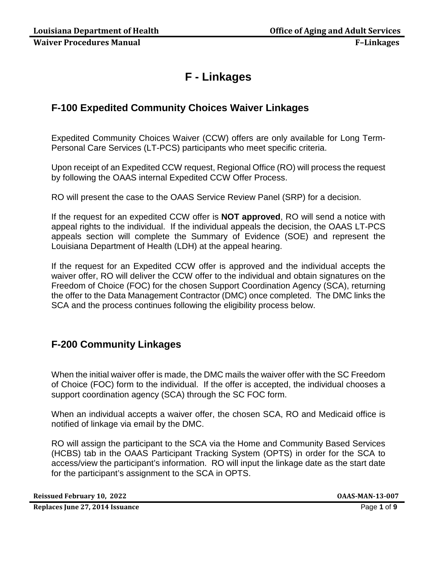# **F - Linkages**

## **F-100 Expedited Community Choices Waiver Linkages**

Expedited Community Choices Waiver (CCW) offers are only available for Long Term-Personal Care Services (LT-PCS) participants who meet specific criteria.

Upon receipt of an Expedited CCW request, Regional Office (RO) will process the request by following the OAAS internal Expedited CCW Offer Process.

RO will present the case to the OAAS Service Review Panel (SRP) for a decision.

If the request for an expedited CCW offer is **NOT approved**, RO will send a notice with appeal rights to the individual. If the individual appeals the decision, the OAAS LT-PCS appeals section will complete the Summary of Evidence (SOE) and represent the Louisiana Department of Health (LDH) at the appeal hearing.

If the request for an Expedited CCW offer is approved and the individual accepts the waiver offer, RO will deliver the CCW offer to the individual and obtain signatures on the Freedom of Choice (FOC) for the chosen Support Coordination Agency (SCA), returning the offer to the Data Management Contractor (DMC) once completed. The DMC links the SCA and the process continues following the eligibility process below.

## **F-200 Community Linkages**

When the initial waiver offer is made, the DMC mails the waiver offer with the SC Freedom of Choice (FOC) form to the individual. If the offer is accepted, the individual chooses a support coordination agency (SCA) through the SC FOC form.

When an individual accepts a waiver offer, the chosen SCA, RO and Medicaid office is notified of linkage via email by the DMC.

RO will assign the participant to the SCA via the Home and Community Based Services (HCBS) tab in the OAAS Participant Tracking System (OPTS) in order for the SCA to access/view the participant's information. RO will input the linkage date as the start date for the participant's assignment to the SCA in OPTS.

**Reissued February 10, 2022 OAAS-MAN-13-007**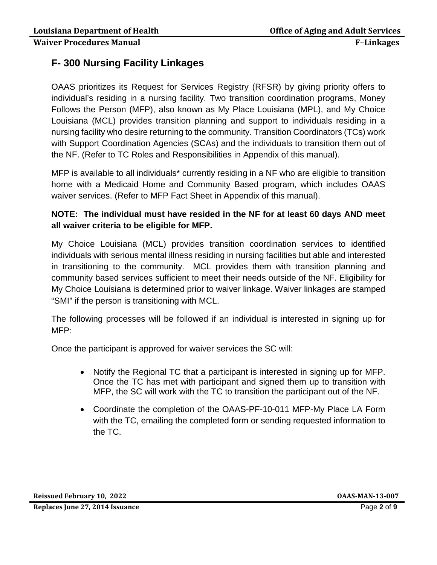## **F- 300 Nursing Facility Linkages**

OAAS prioritizes its Request for Services Registry (RFSR) by giving priority offers to individual's residing in a nursing facility. Two transition coordination programs, Money Follows the Person (MFP), also known as My Place Louisiana (MPL), and My Choice Louisiana (MCL) provides transition planning and support to individuals residing in a nursing facility who desire returning to the community. Transition Coordinators (TCs) work with Support Coordination Agencies (SCAs) and the individuals to transition them out of the NF. (Refer to TC Roles and Responsibilities in Appendix of this manual).

MFP is available to all individuals\* currently residing in a NF who are eligible to transition home with a Medicaid Home and Community Based program, which includes OAAS waiver services. (Refer to MFP Fact Sheet in Appendix of this manual).

## **NOTE: The individual must have resided in the NF for at least 60 days AND meet all waiver criteria to be eligible for MFP.**

My Choice Louisiana (MCL) provides transition coordination services to identified individuals with serious mental illness residing in nursing facilities but able and interested in transitioning to the community. MCL provides them with transition planning and community based services sufficient to meet their needs outside of the NF. Eligibility for My Choice Louisiana is determined prior to waiver linkage. Waiver linkages are stamped "SMI" if the person is transitioning with MCL.

The following processes will be followed if an individual is interested in signing up for MFP:

Once the participant is approved for waiver services the SC will:

- Notify the Regional TC that a participant is interested in signing up for MFP. Once the TC has met with participant and signed them up to transition with MFP, the SC will work with the TC to transition the participant out of the NF.
- Coordinate the completion of the OAAS-PF-10-011 MFP-My Place LA Form with the TC, emailing the completed form or sending requested information to the TC.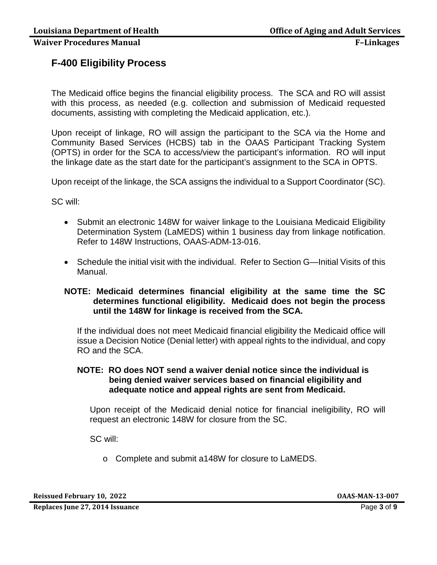## **F-400 Eligibility Process**

The Medicaid office begins the financial eligibility process. The SCA and RO will assist with this process, as needed (e.g. collection and submission of Medicaid requested documents, assisting with completing the Medicaid application, etc.).

Upon receipt of linkage, RO will assign the participant to the SCA via the Home and Community Based Services (HCBS) tab in the OAAS Participant Tracking System (OPTS) in order for the SCA to access/view the participant's information. RO will input the linkage date as the start date for the participant's assignment to the SCA in OPTS.

Upon receipt of the linkage, the SCA assigns the individual to a Support Coordinator (SC).

SC will:

- Submit an electronic 148W for waiver linkage to the Louisiana Medicaid Eligibility Determination System (LaMEDS) within 1 business day from linkage notification. Refer to 148W Instructions, OAAS-ADM-13-016.
- Schedule the initial visit with the individual. Refer to Section G—Initial Visits of this Manual.

#### **NOTE: Medicaid determines financial eligibility at the same time the SC determines functional eligibility. Medicaid does not begin the process until the 148W for linkage is received from the SCA.**

If the individual does not meet Medicaid financial eligibility the Medicaid office will issue a Decision Notice (Denial letter) with appeal rights to the individual, and copy RO and the SCA.

#### **NOTE: RO does NOT send a waiver denial notice since the individual is being denied waiver services based on financial eligibility and adequate notice and appeal rights are sent from Medicaid.**

Upon receipt of the Medicaid denial notice for financial ineligibility, RO will request an electronic 148W for closure from the SC.

SC will:

o Complete and submit a148W for closure to LaMEDS.

**Reissued February 10, 2022 OAAS-MAN-13-007**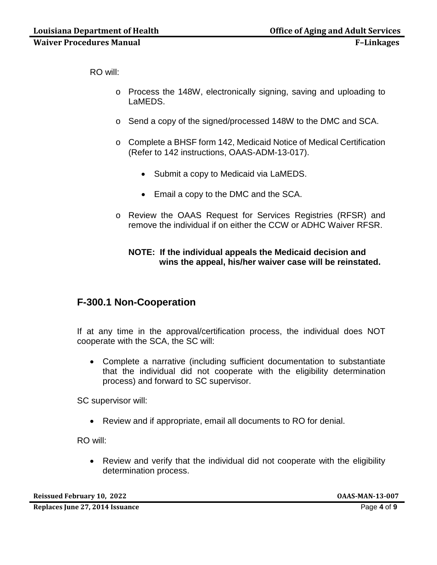RO will:

- o Process the 148W, electronically signing, saving and uploading to LaMEDS.
- o Send a copy of the signed/processed 148W to the DMC and SCA.
- o Complete a BHSF form 142, Medicaid Notice of Medical Certification (Refer to 142 instructions, OAAS-ADM-13-017).
	- Submit a copy to Medicaid via LaMEDS.
	- Email a copy to the DMC and the SCA.
- o Review the OAAS Request for Services Registries (RFSR) and remove the individual if on either the CCW or ADHC Waiver RFSR.

#### **NOTE: If the individual appeals the Medicaid decision and wins the appeal, his/her waiver case will be reinstated.**

## **F-300.1 Non-Cooperation**

If at any time in the approval/certification process, the individual does NOT cooperate with the SCA, the SC will:

• Complete a narrative (including sufficient documentation to substantiate that the individual did not cooperate with the eligibility determination process) and forward to SC supervisor.

SC supervisor will:

• Review and if appropriate, email all documents to RO for denial.

RO will:

• Review and verify that the individual did not cooperate with the eligibility determination process.

**Reissued February 10, 2022 OAAS-MAN-13-007**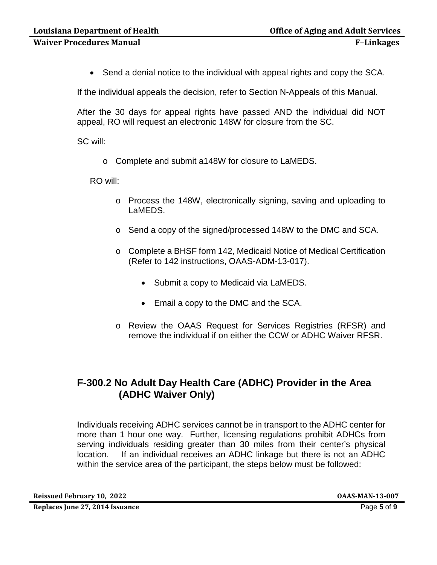• Send a denial notice to the individual with appeal rights and copy the SCA.

If the individual appeals the decision, refer to Section N-Appeals of this Manual.

After the 30 days for appeal rights have passed AND the individual did NOT appeal, RO will request an electronic 148W for closure from the SC.

SC will:

o Complete and submit a148W for closure to LaMEDS.

RO will:

- o Process the 148W, electronically signing, saving and uploading to LaMEDS.
- o Send a copy of the signed/processed 148W to the DMC and SCA.
- o Complete a BHSF form 142, Medicaid Notice of Medical Certification (Refer to 142 instructions, OAAS-ADM-13-017).
	- Submit a copy to Medicaid via LaMEDS.
	- Email a copy to the DMC and the SCA.
- o Review the OAAS Request for Services Registries (RFSR) and remove the individual if on either the CCW or ADHC Waiver RFSR.

## **F-300.2 No Adult Day Health Care (ADHC) Provider in the Area (ADHC Waiver Only)**

Individuals receiving ADHC services cannot be in transport to the ADHC center for more than 1 hour one way. Further, licensing regulations prohibit ADHCs from serving individuals residing greater than 30 miles from their center's physical location. If an individual receives an ADHC linkage but there is not an ADHC within the service area of the participant, the steps below must be followed:

**Reissued February 10, 2022 OAAS-MAN-13-007**

**Replaces June 27, 2014 Issuance** Page **5** of **9**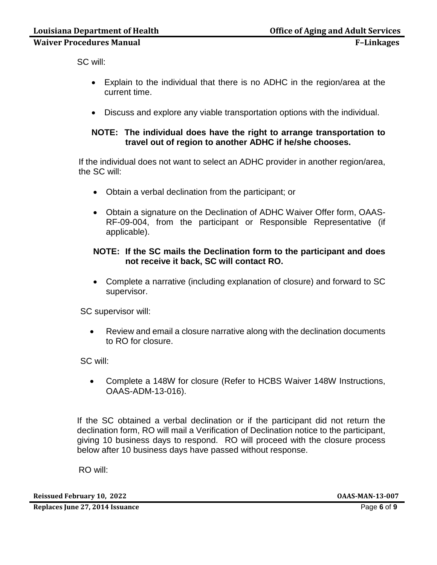SC will:

- Explain to the individual that there is no ADHC in the region/area at the current time.
- Discuss and explore any viable transportation options with the individual.

#### **NOTE: The individual does have the right to arrange transportation to travel out of region to another ADHC if he/she chooses.**

If the individual does not want to select an ADHC provider in another region/area, the SC will:

- Obtain a verbal declination from the participant; or
- Obtain a signature on the Declination of ADHC Waiver Offer form, OAAS-RF-09-004, from the participant or Responsible Representative (if applicable).

#### **NOTE: If the SC mails the Declination form to the participant and does not receive it back, SC will contact RO.**

• Complete a narrative (including explanation of closure) and forward to SC supervisor.

SC supervisor will:

• Review and email a closure narrative along with the declination documents to RO for closure.

SC will:

• Complete a 148W for closure (Refer to HCBS Waiver 148W Instructions, OAAS-ADM-13-016).

If the SC obtained a verbal declination or if the participant did not return the declination form, RO will mail a Verification of Declination notice to the participant, giving 10 business days to respond. RO will proceed with the closure process below after 10 business days have passed without response.

RO will:

**Reissued February 10, 2022 OAAS-MAN-13-007**

**Replaces June 27, 2014 Issuance** Page **6** of **9**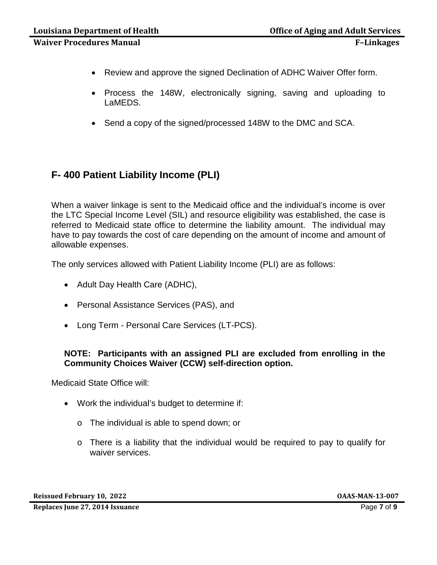- Review and approve the signed Declination of ADHC Waiver Offer form.
- Process the 148W, electronically signing, saving and uploading to LaMEDS.
- Send a copy of the signed/processed 148W to the DMC and SCA.

## **F- 400 Patient Liability Income (PLI)**

When a waiver linkage is sent to the Medicaid office and the individual's income is over the LTC Special Income Level (SIL) and resource eligibility was established, the case is referred to Medicaid state office to determine the liability amount. The individual may have to pay towards the cost of care depending on the amount of income and amount of allowable expenses.

The only services allowed with Patient Liability Income (PLI) are as follows:

- Adult Day Health Care (ADHC),
- Personal Assistance Services (PAS), and
- Long Term Personal Care Services (LT-PCS).

#### **NOTE: Participants with an assigned PLI are excluded from enrolling in the Community Choices Waiver (CCW) self-direction option.**

Medicaid State Office will:

- Work the individual's budget to determine if:
	- o The individual is able to spend down; or
	- o There is a liability that the individual would be required to pay to qualify for waiver services.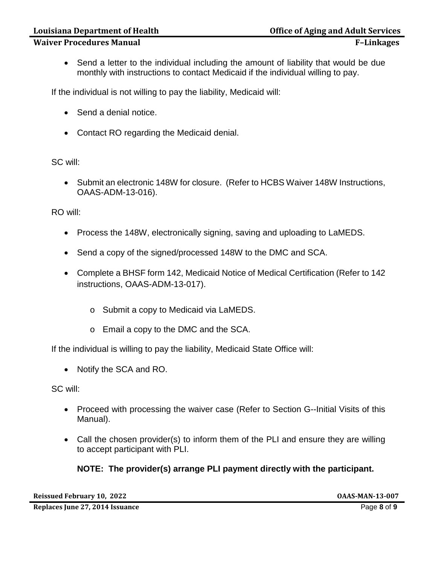• Send a letter to the individual including the amount of liability that would be due monthly with instructions to contact Medicaid if the individual willing to pay.

If the individual is not willing to pay the liability, Medicaid will:

- Send a denial notice.
- Contact RO regarding the Medicaid denial.

SC will:

• Submit an electronic 148W for closure. (Refer to HCBS Waiver 148W Instructions, OAAS-ADM-13-016).

RO will:

- Process the 148W, electronically signing, saving and uploading to LaMEDS.
- Send a copy of the signed/processed 148W to the DMC and SCA.
- Complete a BHSF form 142, Medicaid Notice of Medical Certification (Refer to 142 instructions, OAAS-ADM-13-017).
	- o Submit a copy to Medicaid via LaMEDS.
	- o Email a copy to the DMC and the SCA.

If the individual is willing to pay the liability, Medicaid State Office will:

• Notify the SCA and RO.

SC will:

- Proceed with processing the waiver case (Refer to Section G--Initial Visits of this Manual).
- Call the chosen provider(s) to inform them of the PLI and ensure they are willing to accept participant with PLI.

## **NOTE: The provider(s) arrange PLI payment directly with the participant.**

**Reissued February 10, 2022 OAAS-MAN-13-007**

**Replaces June 27, 2014 Issuance** Page **8** of **9**